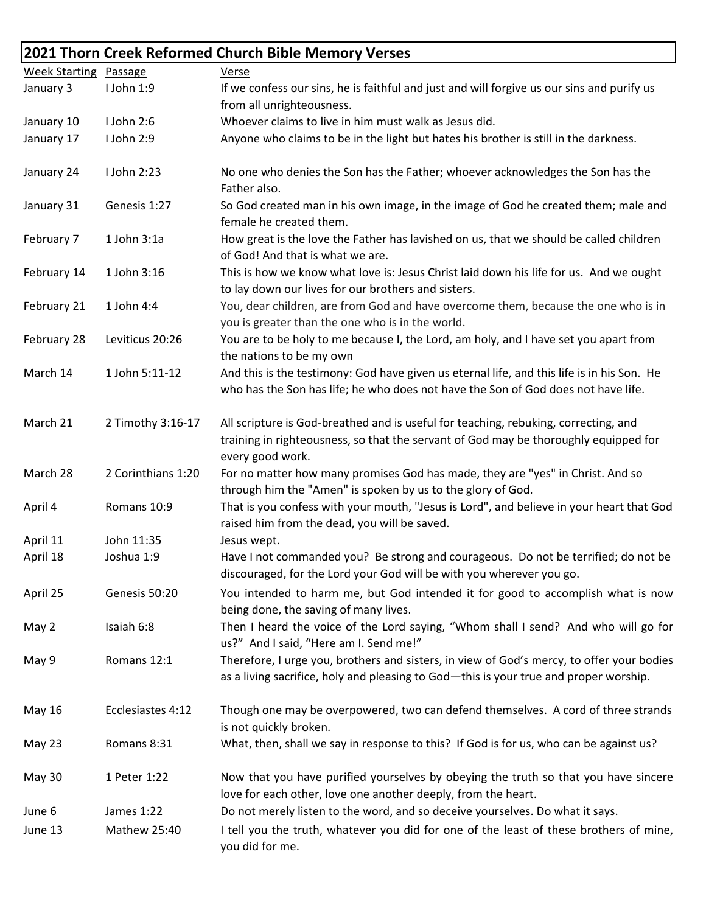## **2021 Thorn Creek Reformed Church Bible Memory Verses**

| <b>Week Starting Passage</b> |                    | Verse                                                                                                                                                                                           |
|------------------------------|--------------------|-------------------------------------------------------------------------------------------------------------------------------------------------------------------------------------------------|
| January 3                    | I John 1:9         | If we confess our sins, he is faithful and just and will forgive us our sins and purify us                                                                                                      |
|                              |                    | from all unrighteousness.                                                                                                                                                                       |
| January 10                   | I John 2:6         | Whoever claims to live in him must walk as Jesus did.                                                                                                                                           |
| January 17                   | I John 2:9         | Anyone who claims to be in the light but hates his brother is still in the darkness.                                                                                                            |
| January 24                   | I John 2:23        | No one who denies the Son has the Father; whoever acknowledges the Son has the<br>Father also.                                                                                                  |
| January 31                   | Genesis 1:27       | So God created man in his own image, in the image of God he created them; male and<br>female he created them.                                                                                   |
| February 7                   | 1 John 3:1a        | How great is the love the Father has lavished on us, that we should be called children<br>of God! And that is what we are.                                                                      |
| February 14                  | 1 John 3:16        | This is how we know what love is: Jesus Christ laid down his life for us. And we ought<br>to lay down our lives for our brothers and sisters.                                                   |
| February 21                  | 1 John 4:4         | You, dear children, are from God and have overcome them, because the one who is in<br>you is greater than the one who is in the world.                                                          |
| February 28                  | Leviticus 20:26    | You are to be holy to me because I, the Lord, am holy, and I have set you apart from<br>the nations to be my own                                                                                |
| March 14                     | 1 John 5:11-12     | And this is the testimony: God have given us eternal life, and this life is in his Son. He<br>who has the Son has life; he who does not have the Son of God does not have life.                 |
| March 21                     | 2 Timothy 3:16-17  | All scripture is God-breathed and is useful for teaching, rebuking, correcting, and<br>training in righteousness, so that the servant of God may be thoroughly equipped for<br>every good work. |
| March 28                     | 2 Corinthians 1:20 | For no matter how many promises God has made, they are "yes" in Christ. And so<br>through him the "Amen" is spoken by us to the glory of God.                                                   |
| April 4                      | Romans 10:9        | That is you confess with your mouth, "Jesus is Lord", and believe in your heart that God<br>raised him from the dead, you will be saved.                                                        |
| April 11                     | John 11:35         | Jesus wept.                                                                                                                                                                                     |
| April 18                     | Joshua 1:9         | Have I not commanded you? Be strong and courageous. Do not be terrified; do not be<br>discouraged, for the Lord your God will be with you wherever you go.                                      |
| April 25                     | Genesis 50:20      | You intended to harm me, but God intended it for good to accomplish what is now<br>being done, the saving of many lives.                                                                        |
| May 2                        | Isaiah 6:8         | Then I heard the voice of the Lord saying, "Whom shall I send? And who will go for<br>us?" And I said, "Here am I. Send me!"                                                                    |
| May 9                        | Romans 12:1        | Therefore, I urge you, brothers and sisters, in view of God's mercy, to offer your bodies<br>as a living sacrifice, holy and pleasing to God-this is your true and proper worship.              |
| May 16                       | Ecclesiastes 4:12  | Though one may be overpowered, two can defend themselves. A cord of three strands<br>is not quickly broken.                                                                                     |
| May 23                       | Romans 8:31        | What, then, shall we say in response to this? If God is for us, who can be against us?                                                                                                          |
| May 30                       | 1 Peter 1:22       | Now that you have purified yourselves by obeying the truth so that you have sincere<br>love for each other, love one another deeply, from the heart.                                            |
| June 6                       | James 1:22         | Do not merely listen to the word, and so deceive yourselves. Do what it says.                                                                                                                   |
| June 13                      | Mathew 25:40       | I tell you the truth, whatever you did for one of the least of these brothers of mine,<br>you did for me.                                                                                       |